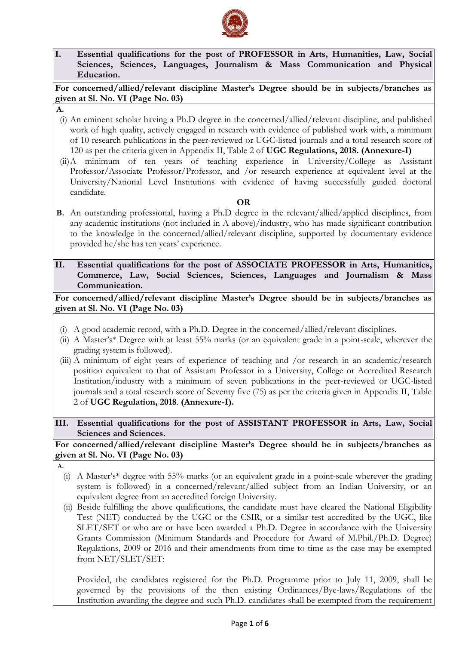

**I. Essential qualifications for the post of PROFESSOR in Arts, Humanities, Law, Social Sciences, Sciences, Languages, Journalism & Mass Communication and Physical Education.**

**For concerned/allied/relevant discipline Master's Degree should be in subjects/branches as given at Sl. No. VI (Page No. 03)**

- **A.**
- (i) An eminent scholar having a Ph.D degree in the concerned/allied/relevant discipline, and published work of high quality, actively engaged in research with evidence of published work with, a minimum of 10 research publications in the peer-reviewed or UGC-listed journals and a total research score of 120 as per the criteria given in Appendix II, Table 2 of **UGC Regulations, 2018. (Annexure-I)**
- (ii)A minimum of ten years of teaching experience in University/College as Assistant Professor/Associate Professor/Professor, and /or research experience at equivalent level at the University/National Level Institutions with evidence of having successfully guided doctoral candidate.

#### **OR**

- **B.** An outstanding professional, having a Ph.D degree in the relevant/allied/applied disciplines, from any academic institutions (not included in A above)/industry, who has made significant contribution to the knowledge in the concerned/allied/relevant discipline, supported by documentary evidence provided he/she has ten years' experience.
- **II. Essential qualifications for the post of ASSOCIATE PROFESSOR in Arts, Humanities, Commerce, Law, Social Sciences, Sciences, Languages and Journalism & Mass Communication.**

**For concerned/allied/relevant discipline Master's Degree should be in subjects/branches as given at Sl. No. VI (Page No. 03)**

- (i) A good academic record, with a Ph.D. Degree in the concerned/allied/relevant disciplines.
- (ii) A Master's\* Degree with at least 55% marks (or an equivalent grade in a point-scale, wherever the grading system is followed).
- (iii) A minimum of eight years of experience of teaching and /or research in an academic/research position equivalent to that of Assistant Professor in a University, College or Accredited Research Institution/industry with a minimum of seven publications in the peer-reviewed or UGC-listed journals and a total research score of Seventy five (75) as per the criteria given in Appendix II, Table 2 of **UGC Regulation, 2018**. **(Annexure-I).**
- **III. Essential qualifications for the post of ASSISTANT PROFESSOR in Arts, Law, Social Sciences and Sciences.**

## **For concerned/allied/relevant discipline Master's Degree should be in subjects/branches as given at Sl. No. VI (Page No. 03)**

- **A.**
	- (i) A Master's\* degree with 55% marks (or an equivalent grade in a point-scale wherever the grading system is followed) in a concerned/relevant/allied subject from an Indian University, or an equivalent degree from an accredited foreign University.
	- (ii) Beside fulfilling the above qualifications, the candidate must have cleared the National Eligibility Test (NET) conducted by the UGC or the CSIR, or a similar test accredited by the UGC, like SLET/SET or who are or have been awarded a Ph.D. Degree in accordance with the University Grants Commission (Minimum Standards and Procedure for Award of M.Phil./Ph.D. Degree) Regulations, 2009 or 2016 and their amendments from time to time as the case may be exempted from NET/SLET/SET:

Provided, the candidates registered for the Ph.D. Programme prior to July 11, 2009, shall be governed by the provisions of the then existing Ordinances/Bye-laws/Regulations of the Institution awarding the degree and such Ph.D. candidates shall be exempted from the requirement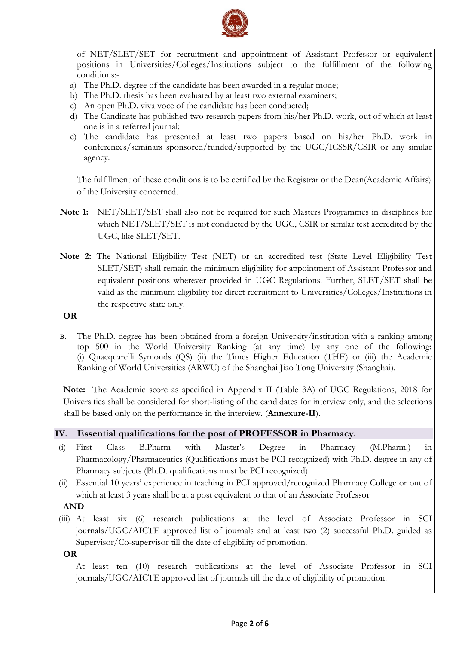

of NET/SLET/SET for recruitment and appointment of Assistant Professor or equivalent positions in Universities/Colleges/Institutions subject to the fulfillment of the following conditions:-

- a) The Ph.D. degree of the candidate has been awarded in a regular mode;
- b) The Ph.D. thesis has been evaluated by at least two external examiners;
- c) An open Ph.D. viva voce of the candidate has been conducted;
- d) The Candidate has published two research papers from his/her Ph.D. work, out of which at least one is in a referred journal;
- e) The candidate has presented at least two papers based on his/her Ph.D. work in conferences/seminars sponsored/funded/supported by the UGC/ICSSR/CSIR or any similar agency.

The fulfillment of these conditions is to be certified by the Registrar or the Dean(Academic Affairs) of the University concerned.

- **Note 1:** NET/SLET/SET shall also not be required for such Masters Programmes in disciplines for which NET/SLET/SET is not conducted by the UGC, CSIR or similar test accredited by the UGC, like SLET/SET.
- **Note 2:** The National Eligibility Test (NET) or an accredited test (State Level Eligibility Test SLET/SET) shall remain the minimum eligibility for appointment of Assistant Professor and equivalent positions wherever provided in UGC Regulations. Further, SLET/SET shall be valid as the minimum eligibility for direct recruitment to Universities/Colleges/Institutions in the respective state only.

**OR**

**B.** The Ph.D. degree has been obtained from a foreign University/institution with a ranking among top 500 in the World University Ranking (at any time) by any one of the following: (i) Quacquarelli Symonds (QS) (ii) the Times Higher Education (THE) or (iii) the Academic Ranking of World Universities (ARWU) of the Shanghai Jiao Tong University (Shanghai).

**Note:** The Academic score as specified in Appendix II (Table 3A) of UGC Regulations, 2018 for Universities shall be considered for short-listing of the candidates for interview only, and the selections shall be based only on the performance in the interview. (**Annexure-II**).

|  |  |  |  |  |  | IV. Essential qualifications for the post of PROFESSOR in Pharmacy. |
|--|--|--|--|--|--|---------------------------------------------------------------------|
|--|--|--|--|--|--|---------------------------------------------------------------------|

- (i) First Class B.Pharm with Master's Degree in Pharmacy (M.Pharm.) in Pharmacology/Pharmaceutics (Qualifications must be PCI recognized) with Ph.D. degree in any of Pharmacy subjects (Ph.D. qualifications must be PCI recognized).
- (ii) Essential 10 years' experience in teaching in PCI approved/recognized Pharmacy College or out of which at least 3 years shall be at a post equivalent to that of an Associate Professor

### **AND**

- (iii) At least six (6) research publications at the level of Associate Professor in SCI journals/UGC/AICTE approved list of journals and at least two (2) successful Ph.D. guided as Supervisor/Co-supervisor till the date of eligibility of promotion.
- **OR**

At least ten (10) research publications at the level of Associate Professor in SCI journals/UGC/AICTE approved list of journals till the date of eligibility of promotion.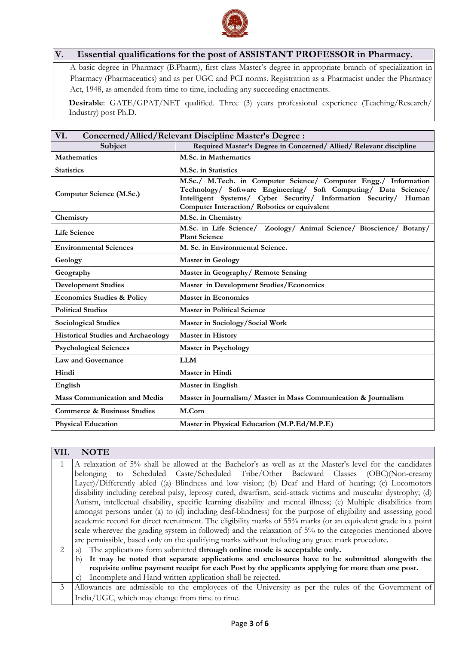

# **V. Essential qualifications for the post of ASSISTANT PROFESSOR in Pharmacy.**

A basic degree in Pharmacy (B.Pharm), first class Master's degree in appropriate branch of specialization in Pharmacy (Pharmaceutics) and as per UGC and PCI norms. Registration as a Pharmacist under the Pharmacy Act, 1948, as amended from time to time, including any succeeding enactments.

**Desirable**: GATE/GPAT/NET qualified. Three (3) years professional experience (Teaching/Research/ Industry) post Ph.D.

| VI.<br><b>Concerned/Allied/Relevant Discipline Master's Degree:</b> |                                                                                                                                                                                                                                                       |  |  |  |
|---------------------------------------------------------------------|-------------------------------------------------------------------------------------------------------------------------------------------------------------------------------------------------------------------------------------------------------|--|--|--|
| Subject                                                             | Required Master's Degree in Concerned/ Allied/ Relevant discipline                                                                                                                                                                                    |  |  |  |
| <b>Mathematics</b>                                                  | M.Sc. in Mathematics                                                                                                                                                                                                                                  |  |  |  |
| <b>Statistics</b>                                                   | M.Sc. in Statistics                                                                                                                                                                                                                                   |  |  |  |
| Computer Science (M.Sc.)                                            | M.Sc./ M.Tech. in Computer Science/ Computer Engg./ Information<br>Technology/ Software Engineering/ Soft Computing/ Data Science/<br>Intelligent Systems/ Cyber Security/ Information Security/ Human<br>Computer Interaction/Robotics or equivalent |  |  |  |
| Chemistry                                                           | M.Sc. in Chemistry                                                                                                                                                                                                                                    |  |  |  |
| <b>Life Science</b>                                                 | M.Sc. in Life Science/<br>Zoology/ Animal Science/ Bioscience/ Botany/<br><b>Plant Science</b>                                                                                                                                                        |  |  |  |
| <b>Environmental Sciences</b>                                       | M. Sc. in Environmental Science.                                                                                                                                                                                                                      |  |  |  |
| Geology                                                             | <b>Master in Geology</b>                                                                                                                                                                                                                              |  |  |  |
| Geography                                                           | Master in Geography/ Remote Sensing                                                                                                                                                                                                                   |  |  |  |
| <b>Development Studies</b>                                          | Master in Development Studies/Economics                                                                                                                                                                                                               |  |  |  |
| <b>Economics Studies &amp; Policy</b>                               | <b>Master in Economics</b>                                                                                                                                                                                                                            |  |  |  |
| <b>Political Studies</b>                                            | <b>Master in Political Science</b>                                                                                                                                                                                                                    |  |  |  |
| <b>Sociological Studies</b>                                         | Master in Sociology/Social Work                                                                                                                                                                                                                       |  |  |  |
| <b>Historical Studies and Archaeology</b>                           | <b>Master in History</b>                                                                                                                                                                                                                              |  |  |  |
| <b>Psychological Sciences</b>                                       | <b>Master in Psychology</b>                                                                                                                                                                                                                           |  |  |  |
| <b>Law and Governance</b>                                           | <b>LLM</b>                                                                                                                                                                                                                                            |  |  |  |
| Hindi                                                               | Master in Hindi                                                                                                                                                                                                                                       |  |  |  |
| English                                                             | Master in English                                                                                                                                                                                                                                     |  |  |  |
| <b>Mass Communication and Media</b>                                 | Master in Journalism/ Master in Mass Communication & Journalism                                                                                                                                                                                       |  |  |  |
| <b>Commerce &amp; Business Studies</b>                              | M.Com                                                                                                                                                                                                                                                 |  |  |  |
| <b>Physical Education</b>                                           | Master in Physical Education (M.P.Ed/M.P.E)                                                                                                                                                                                                           |  |  |  |

# **VII. NOTE**

|                       | A relaxation of 5% shall be allowed at the Bachelor's as well as at the Master's level for the candidates        |  |  |  |
|-----------------------|------------------------------------------------------------------------------------------------------------------|--|--|--|
|                       | belonging to Scheduled Caste/Scheduled Tribe/Other Backward Classes (OBC)(Non-creamy                             |  |  |  |
|                       | Layer)/Differently abled ((a) Blindness and low vision; (b) Deaf and Hard of hearing; (c) Locomotors             |  |  |  |
|                       | disability including cerebral palsy, leprosy cured, dwarfism, acid-attack victims and muscular dystrophy; (d)    |  |  |  |
|                       | Autism, intellectual disability, specific learning disability and mental illness; (e) Multiple disabilities from |  |  |  |
|                       | amongst persons under (a) to (d) including deaf-blindness) for the purpose of eligibility and assessing good     |  |  |  |
|                       | academic record for direct recruitment. The eligibility marks of 55% marks (or an equivalent grade in a point    |  |  |  |
|                       | scale wherever the grading system in followed) and the relaxation of 5% to the categories mentioned above        |  |  |  |
|                       | are permissible, based only on the qualifying marks without including any grace mark procedure.                  |  |  |  |
| $\mathcal{D}_{\cdot}$ | a) The applications form submitted <b>through online mode is acceptable only.</b>                                |  |  |  |
|                       | b) It may be noted that separate applications and enclosures have to be submitted alongwith the                  |  |  |  |
|                       | requisite online payment receipt for each Post by the applicants applying for more than one post.                |  |  |  |
|                       | Incomplete and Hand written application shall be rejected.<br>$\mathcal{C}$                                      |  |  |  |
| 3                     | Allowances are admissible to the employees of the University as per the rules of the Government of               |  |  |  |
|                       | India/UGC, which may change from time to time.                                                                   |  |  |  |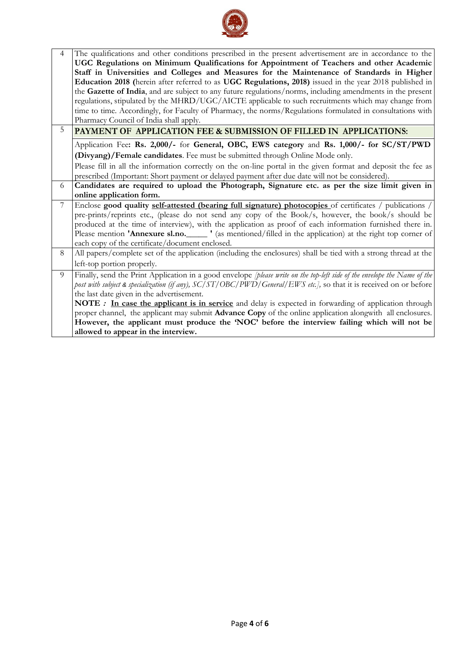

| $\overline{4}$ | The qualifications and other conditions prescribed in the present advertisement are in accordance to the                         |  |  |  |
|----------------|----------------------------------------------------------------------------------------------------------------------------------|--|--|--|
|                | UGC Regulations on Minimum Qualifications for Appointment of Teachers and other Academic                                         |  |  |  |
|                | Staff in Universities and Colleges and Measures for the Maintenance of Standards in Higher                                       |  |  |  |
|                | Education 2018 (herein after referred to as UGC Regulations, 2018) issued in the year 2018 published in                          |  |  |  |
|                | the Gazette of India, and are subject to any future regulations/norms, including amendments in the present                       |  |  |  |
|                | regulations, stipulated by the MHRD/UGC/AICTE applicable to such recruitments which may change from                              |  |  |  |
|                | time to time. Accordingly, for Faculty of Pharmacy, the norms/Regulations formulated in consultations with                       |  |  |  |
|                | Pharmacy Council of India shall apply.                                                                                           |  |  |  |
| 5              | PAYMENT OF APPLICATION FEE & SUBMISSION OF FILLED IN APPLICATIONS:                                                               |  |  |  |
|                | Application Fee: Rs. 2,000/- for General, OBC, EWS category and Rs. 1,000/- for SC/ST/PWD                                        |  |  |  |
|                | (Divyang)/Female candidates. Fee must be submitted through Online Mode only.                                                     |  |  |  |
|                | Please fill in all the information correctly on the on-line portal in the given format and deposit the fee as                    |  |  |  |
|                | prescribed (Important: Short payment or delayed payment after due date will not be considered).                                  |  |  |  |
| 6              | Candidates are required to upload the Photograph, Signature etc. as per the size limit given in                                  |  |  |  |
|                | online application form.                                                                                                         |  |  |  |
| $\overline{7}$ | Enclose good quality self-attested (bearing full signature) photocopies of certificates / publications /                         |  |  |  |
|                | pre-prints/reprints etc., (please do not send any copy of the Book/s, however, the book/s should be                              |  |  |  |
|                | produced at the time of interview), with the application as proof of each information furnished there in.                        |  |  |  |
|                | Please mention <b>'Annexure sl.no.</b> (as mentioned/filled in the application) at the right top corner of                       |  |  |  |
|                | each copy of the certificate/document enclosed.                                                                                  |  |  |  |
| 8              | All papers/complete set of the application (including the enclosures) shall be tied with a strong thread at the                  |  |  |  |
|                | left-top portion properly.                                                                                                       |  |  |  |
| 9              | Finally, send the Print Application in a good envelope <i>[please write on the top-left side of the envelope the Name of the</i> |  |  |  |
|                | post with subject & specialization (if any), SC/ST/OBC/PWD/General/EWS etc.], so that it is received on or before                |  |  |  |
|                | the last date given in the advertisement.                                                                                        |  |  |  |
|                | <b>NOTE</b> : In case the applicant is in service and delay is expected in forwarding of application through                     |  |  |  |
|                | proper channel, the applicant may submit Advance Copy of the online application alongwith all enclosures.                        |  |  |  |
|                | However, the applicant must produce the 'NOC' before the interview failing which will not be                                     |  |  |  |
|                | allowed to appear in the interview.                                                                                              |  |  |  |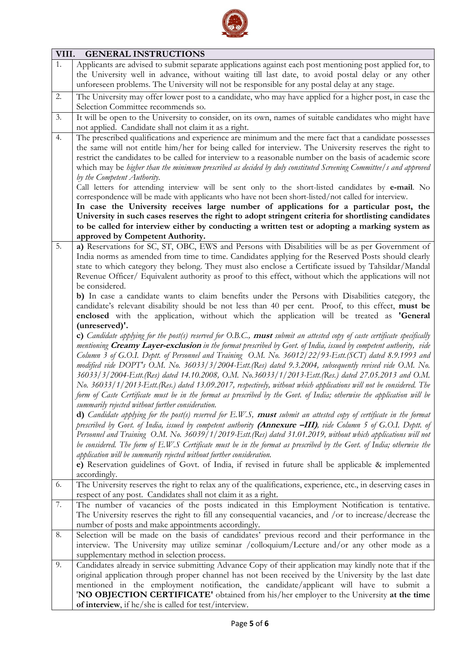

| VIII. | <b>GENERAL INSTRUCTIONS</b>                                                                                                  |
|-------|------------------------------------------------------------------------------------------------------------------------------|
| 1.    | Applicants are advised to submit separate applications against each post mentioning post applied for, to                     |
|       | the University well in advance, without waiting till last date, to avoid postal delay or any other                           |
|       | unforeseen problems. The University will not be responsible for any postal delay at any stage.                               |
| 2.    | The University may offer lower post to a candidate, who may have applied for a higher post, in case the                      |
|       | Selection Committee recommends so.                                                                                           |
| 3.    | It will be open to the University to consider, on its own, names of suitable candidates who might have                       |
|       | not applied. Candidate shall not claim it as a right.                                                                        |
| 4.    | The prescribed qualifications and experience are minimum and the mere fact that a candidate possesses                        |
|       | the same will not entitle him/her for being called for interview. The University reserves the right to                       |
|       | restrict the candidates to be called for interview to a reasonable number on the basis of academic score                     |
|       | which may be higher than the minimum prescribed as decided by duly constituted Screening Committee/s and approved            |
|       | by the Competent Authority.                                                                                                  |
|       | Call letters for attending interview will be sent only to the short-listed candidates by e-mail. No                          |
|       | correspondence will be made with applicants who have not been short-listed/not called for interview.                         |
|       | In case the University receives large number of applications for a particular post, the                                      |
|       | University in such cases reserves the right to adopt stringent criteria for shortlisting candidates                          |
|       | to be called for interview either by conducting a written test or adopting a marking system as                               |
|       | approved by Competent Authority.                                                                                             |
| 5.    | a) Reservations for SC, ST, OBC, EWS and Persons with Disabilities will be as per Government of                              |
|       | India norms as amended from time to time. Candidates applying for the Reserved Posts should clearly                          |
|       | state to which category they belong. They must also enclose a Certificate issued by Tahsildar/Mandal                         |
|       | Revenue Officer/ Equivalent authority as proof to this effect, without which the applications will not                       |
|       | be considered.                                                                                                               |
|       | b) In case a candidate wants to claim benefits under the Persons with Disabilities category, the                             |
|       | candidate's relevant disability should be not less than 40 per cent. Proof, to this effect, must be                          |
|       | enclosed with the application, without which the application will be treated as 'General                                     |
|       | (unreserved)'.                                                                                                               |
|       | c) Candidate applying for the post(s) reserved for O.B.C., must submit an attested copy of caste certificate specifically    |
|       | mentioning Creamy Layer-exclusion in the format prescribed by Govt. of India, issued by competent authority, vide            |
|       | Column 3 of G.O.I. Deptt. of Personnel and Training O.M. No. 36012/22/93-Estt.(SCT) dated 8.9.1993 and                       |
|       | modified vide DOPT's O.M. No. 36033/3/2004-Estt.(Res) dated 9.3.2004, subsequently revised vide O.M. No.                     |
|       | 36033/3/2004-Estt.(Res) dated 14.10.2008, O.M. No.36033/1/2013-Estt.(Res.) dated 27.05.2013 and O.M.                         |
|       | No. 36033/1/2013-Estt.(Res.) dated 13.09.2017, respectively, without which applications will not be considered. The          |
|       | form of Caste Certificate must be in the format as prescribed by the Govt. of India; otherwise the application will be       |
|       | summarily rejected without further consideration.                                                                            |
|       | <b>d)</b> Candidate applying for the post(s) reserved for $E.W.S.$ must submit an attested copy of certificate in the format |
|       | prescribed by Govt. of India, issued by competent authority (Annexure -III), vide Column 5 of G.O.I. Deptt. of               |
|       | Personnel and Training O.M. No. 36039/1/2019-Estt.(Res) dated 31.01.2019, without which applications will not                |
|       | be considered. The form of E.W.S Certificate must be in the format as prescribed by the Govt. of India; otherwise the        |
|       | application will be summarily rejected without further consideration.                                                        |
|       | e) Reservation guidelines of Govt. of India, if revised in future shall be applicable & implemented                          |
|       | accordingly.                                                                                                                 |
| 6.    | The University reserves the right to relax any of the qualifications, experience, etc., in deserving cases in                |
|       | respect of any post. Candidates shall not claim it as a right.                                                               |
| 7.    | The number of vacancies of the posts indicated in this Employment Notification is tentative.                                 |
|       | The University reserves the right to fill any consequential vacancies, and /or to increase/decrease the                      |
|       | number of posts and make appointments accordingly.                                                                           |
| 8.    | Selection will be made on the basis of candidates' previous record and their performance in the                              |
|       | interview. The University may utilize seminar /colloquium/Lecture and/or any other mode as a                                 |
|       | supplementary method in selection process.                                                                                   |
| 9.    | Candidates already in service submitting Advance Copy of their application may kindly note that if the                       |
|       | original application through proper channel has not been received by the University by the last date                         |
|       | mentioned in the employment notification, the candidate/applicant will have to submit a                                      |
|       | 'NO OBJECTION CERTIFICATE' obtained from his/her employer to the University at the time                                      |
|       | of interview, if he/she is called for test/interview.                                                                        |